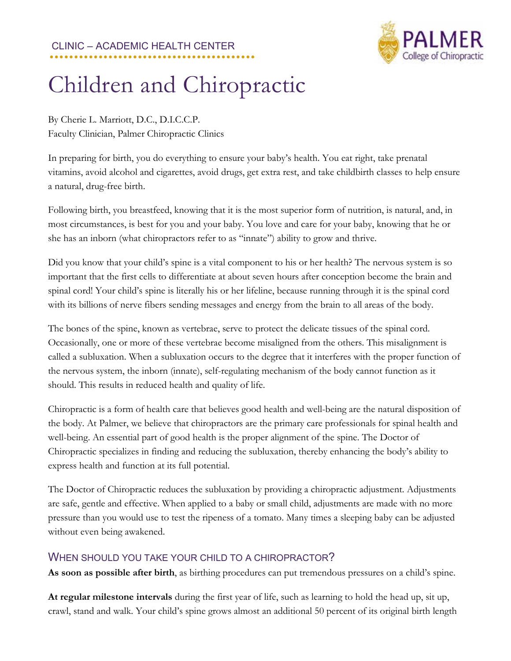## CLINIC – ACADEMIC HEALTH CENTER **..........................................**



## Children and Chiropractic

By Cherie L. Marriott, D.C., D.I.C.C.P. Faculty Clinician, Palmer Chiropractic Clinics

In preparing for birth, you do everything to ensure your baby's health. You eat right, take prenatal vitamins, avoid alcohol and cigarettes, avoid drugs, get extra rest, and take childbirth classes to help ensure a natural, drug-free birth.

Following birth, you breastfeed, knowing that it is the most superior form of nutrition, is natural, and, in most circumstances, is best for you and your baby. You love and care for your baby, knowing that he or she has an inborn (what chiropractors refer to as "innate") ability to grow and thrive.

Did you know that your child's spine is a vital component to his or her health? The nervous system is so important that the first cells to differentiate at about seven hours after conception become the brain and spinal cord! Your child's spine is literally his or her lifeline, because running through it is the spinal cord with its billions of nerve fibers sending messages and energy from the brain to all areas of the body.

The bones of the spine, known as vertebrae, serve to protect the delicate tissues of the spinal cord. Occasionally, one or more of these vertebrae become misaligned from the others. This misalignment is called a subluxation. When a subluxation occurs to the degree that it interferes with the proper function of the nervous system, the inborn (innate), self-regulating mechanism of the body cannot function as it should. This results in reduced health and quality of life.

Chiropractic is a form of health care that believes good health and well-being are the natural disposition of the body. At Palmer, we believe that chiropractors are the primary care professionals for spinal health and well-being. An essential part of good health is the proper alignment of the spine. The Doctor of Chiropractic specializes in finding and reducing the subluxation, thereby enhancing the body's ability to express health and function at its full potential.

The Doctor of Chiropractic reduces the subluxation by providing a chiropractic adjustment. Adjustments are safe, gentle and effective. When applied to a baby or small child, adjustments are made with no more pressure than you would use to test the ripeness of a tomato. Many times a sleeping baby can be adjusted without even being awakened.

## WHEN SHOULD YOU TAKE YOUR CHILD TO A CHIROPRACTOR?

**As soon as possible after birth**, as birthing procedures can put tremendous pressures on a child's spine.

**At regular milestone intervals** during the first year of life, such as learning to hold the head up, sit up, crawl, stand and walk. Your child's spine grows almost an additional 50 percent of its original birth length